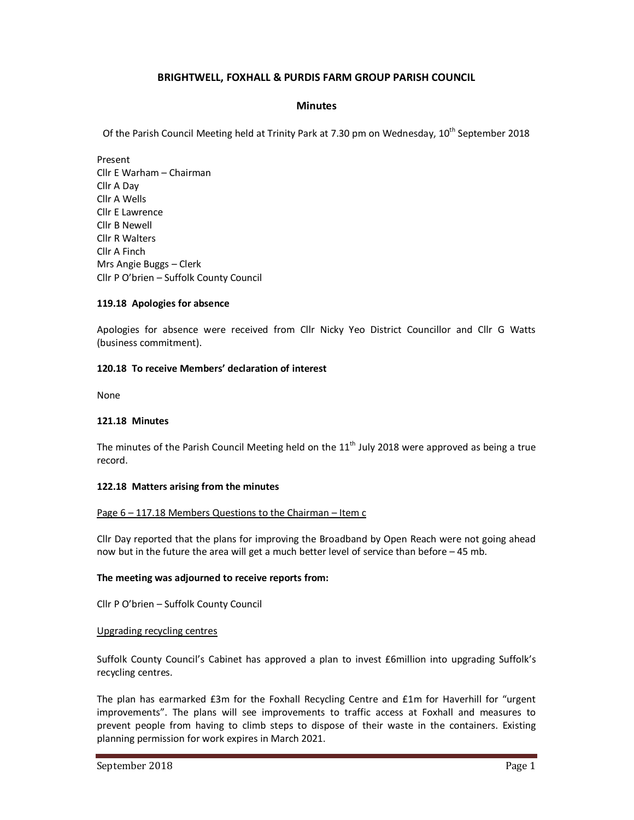# **BRIGHTWELL, FOXHALL & PURDIS FARM GROUP PARISH COUNCIL**

### **Minutes**

Of the Parish Council Meeting held at Trinity Park at 7.30 pm on Wednesday, 10<sup>th</sup> September 2018

Present Cllr E Warham – Chairman Cllr A Day Cllr A Wells Cllr E Lawrence Cllr B Newell Cllr R Walters Cllr A Finch Mrs Angie Buggs – Clerk Cllr P O'brien – Suffolk County Council

### **119.18 Apologies for absence**

Apologies for absence were received from Cllr Nicky Yeo District Councillor and Cllr G Watts (business commitment).

### **120.18 To receive Members' declaration of interest**

None

### **121.18 Minutes**

The minutes of the Parish Council Meeting held on the  $11<sup>th</sup>$  July 2018 were approved as being a true record.

### **122.18 Matters arising from the minutes**

### Page 6 – 117.18 Members Questions to the Chairman – Item c

Cllr Day reported that the plans for improving the Broadband by Open Reach were not going ahead now but in the future the area will get a much better level of service than before – 45 mb.

### **The meeting was adjourned to receive reports from:**

Cllr P O'brien – Suffolk County Council

### Upgrading recycling centres

Suffolk County Council's Cabinet has approved a plan to invest £6million into upgrading Suffolk's recycling centres.

The plan has earmarked £3m for the Foxhall Recycling Centre and £1m for Haverhill for "urgent improvements". The plans will see improvements to traffic access at Foxhall and measures to prevent people from having to climb steps to dispose of their waste in the containers. Existing planning permission for work expires in March 2021.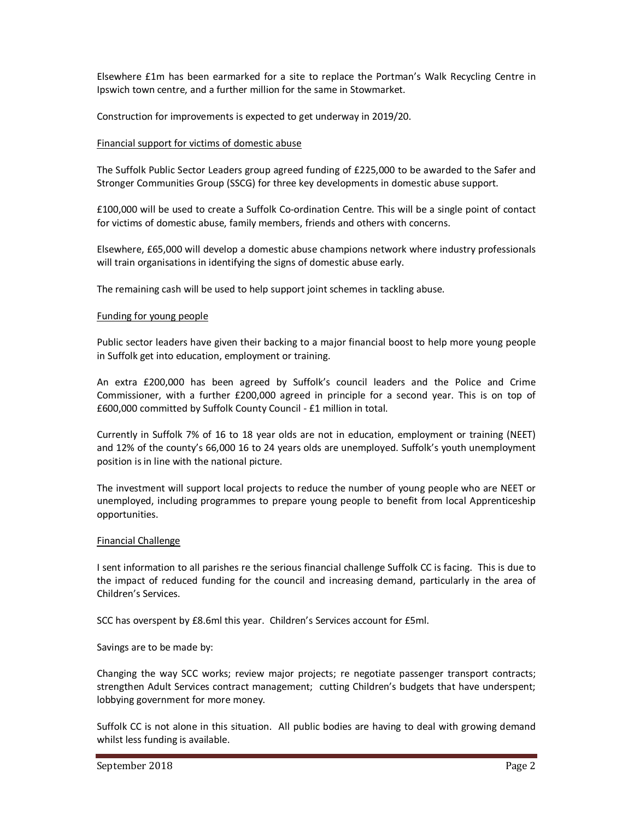Elsewhere £1m has been earmarked for a site to replace the Portman's Walk Recycling Centre in Ipswich town centre, and a further million for the same in Stowmarket.

Construction for improvements is expected to get underway in 2019/20.

### Financial support for victims of domestic abuse

The Suffolk Public Sector Leaders group agreed funding of £225,000 to be awarded to the Safer and Stronger Communities Group (SSCG) for three key developments in domestic abuse support.

£100,000 will be used to create a Suffolk Co-ordination Centre. This will be a single point of contact for victims of domestic abuse, family members, friends and others with concerns.

Elsewhere, £65,000 will develop a domestic abuse champions network where industry professionals will train organisations in identifying the signs of domestic abuse early.

The remaining cash will be used to help support joint schemes in tackling abuse.

### Funding for young people

Public sector leaders have given their backing to a major financial boost to help more young people in Suffolk get into education, employment or training.

An extra £200,000 has been agreed by Suffolk's council leaders and the Police and Crime Commissioner, with a further £200,000 agreed in principle for a second year. This is on top of £600,000 committed by Suffolk County Council - £1 million in total.

Currently in Suffolk 7% of 16 to 18 year olds are not in education, employment or training (NEET) and 12% of the county's 66,000 16 to 24 years olds are unemployed. Suffolk's youth unemployment position is in line with the national picture.

The investment will support local projects to reduce the number of young people who are NEET or unemployed, including programmes to prepare young people to benefit from local Apprenticeship opportunities.

### Financial Challenge

I sent information to all parishes re the serious financial challenge Suffolk CC is facing. This is due to the impact of reduced funding for the council and increasing demand, particularly in the area of Children's Services.

SCC has overspent by £8.6ml this year. Children's Services account for £5ml.

Savings are to be made by:

Changing the way SCC works; review major projects; re negotiate passenger transport contracts; strengthen Adult Services contract management; cutting Children's budgets that have underspent; lobbying government for more money.

Suffolk CC is not alone in this situation. All public bodies are having to deal with growing demand whilst less funding is available.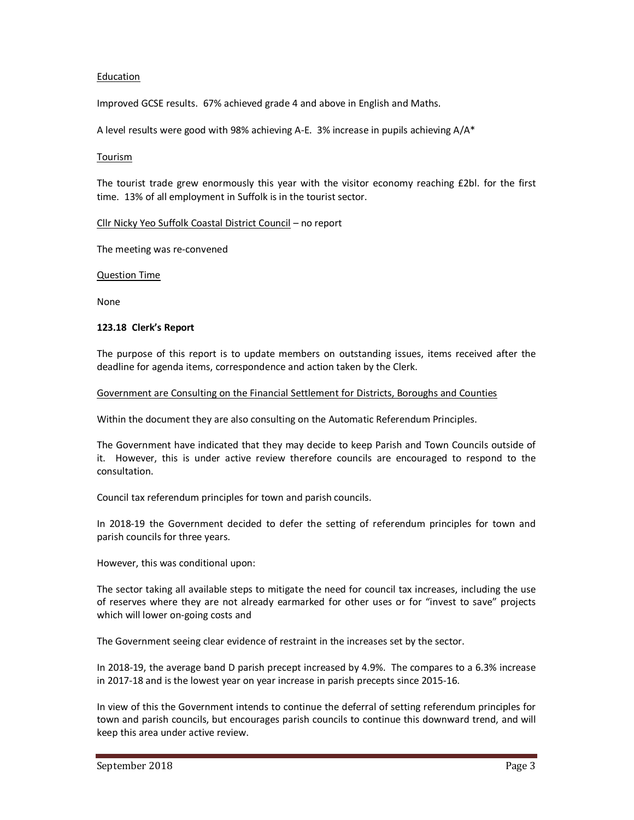### Education

Improved GCSE results. 67% achieved grade 4 and above in English and Maths.

A level results were good with 98% achieving A-E. 3% increase in pupils achieving A/A\*

#### Tourism

The tourist trade grew enormously this year with the visitor economy reaching £2bl. for the first time. 13% of all employment in Suffolk is in the tourist sector.

### Cllr Nicky Yeo Suffolk Coastal District Council – no report

The meeting was re-convened

Question Time

None

### **123.18 Clerk's Report**

The purpose of this report is to update members on outstanding issues, items received after the deadline for agenda items, correspondence and action taken by the Clerk.

#### Government are Consulting on the Financial Settlement for Districts, Boroughs and Counties

Within the document they are also consulting on the Automatic Referendum Principles.

The Government have indicated that they may decide to keep Parish and Town Councils outside of it. However, this is under active review therefore councils are encouraged to respond to the consultation.

Council tax referendum principles for town and parish councils.

In 2018-19 the Government decided to defer the setting of referendum principles for town and parish councils for three years.

However, this was conditional upon:

The sector taking all available steps to mitigate the need for council tax increases, including the use of reserves where they are not already earmarked for other uses or for "invest to save" projects which will lower on-going costs and

The Government seeing clear evidence of restraint in the increases set by the sector.

In 2018-19, the average band D parish precept increased by 4.9%. The compares to a 6.3% increase in 2017-18 and is the lowest year on year increase in parish precepts since 2015-16.

In view of this the Government intends to continue the deferral of setting referendum principles for town and parish councils, but encourages parish councils to continue this downward trend, and will keep this area under active review.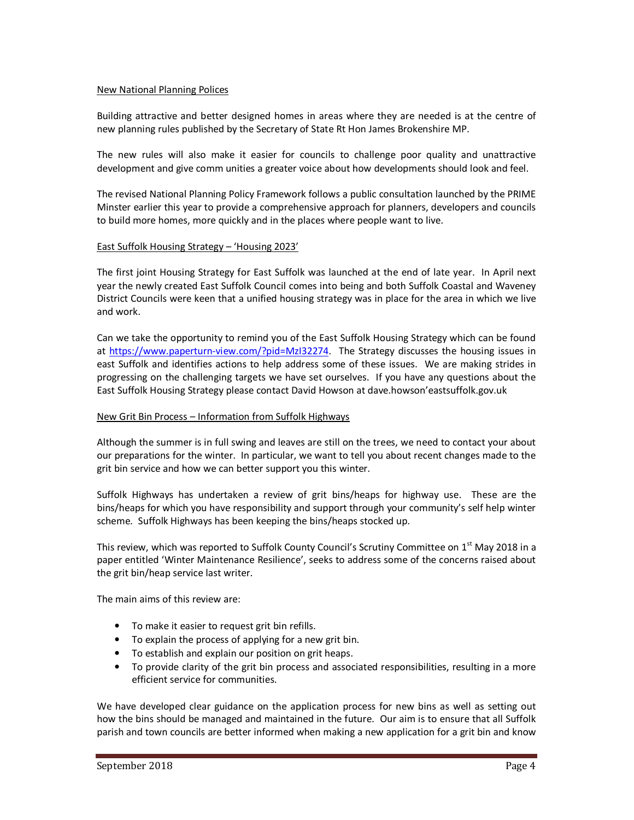### New National Planning Polices

Building attractive and better designed homes in areas where they are needed is at the centre of new planning rules published by the Secretary of State Rt Hon James Brokenshire MP.

The new rules will also make it easier for councils to challenge poor quality and unattractive development and give comm unities a greater voice about how developments should look and feel.

The revised National Planning Policy Framework follows a public consultation launched by the PRIME Minster earlier this year to provide a comprehensive approach for planners, developers and councils to build more homes, more quickly and in the places where people want to live.

### East Suffolk Housing Strategy – 'Housing 2023'

The first joint Housing Strategy for East Suffolk was launched at the end of late year. In April next year the newly created East Suffolk Council comes into being and both Suffolk Coastal and Waveney District Councils were keen that a unified housing strategy was in place for the area in which we live and work.

Can we take the opportunity to remind you of the East Suffolk Housing Strategy which can be found at https://www.paperturn-view.com/?pid=MzI32274. The Strategy discusses the housing issues in east Suffolk and identifies actions to help address some of these issues. We are making strides in progressing on the challenging targets we have set ourselves. If you have any questions about the East Suffolk Housing Strategy please contact David Howson at dave.howson'eastsuffolk.gov.uk

### New Grit Bin Process – Information from Suffolk Highways

Although the summer is in full swing and leaves are still on the trees, we need to contact your about our preparations for the winter. In particular, we want to tell you about recent changes made to the grit bin service and how we can better support you this winter.

Suffolk Highways has undertaken a review of grit bins/heaps for highway use. These are the bins/heaps for which you have responsibility and support through your community's self help winter scheme. Suffolk Highways has been keeping the bins/heaps stocked up.

This review, which was reported to Suffolk County Council's Scrutiny Committee on 1<sup>st</sup> May 2018 in a paper entitled 'Winter Maintenance Resilience', seeks to address some of the concerns raised about the grit bin/heap service last writer.

The main aims of this review are:

- To make it easier to request grit bin refills.
- To explain the process of applying for a new grit bin.
- To establish and explain our position on grit heaps.
- To provide clarity of the grit bin process and associated responsibilities, resulting in a more efficient service for communities.

We have developed clear guidance on the application process for new bins as well as setting out how the bins should be managed and maintained in the future. Our aim is to ensure that all Suffolk parish and town councils are better informed when making a new application for a grit bin and know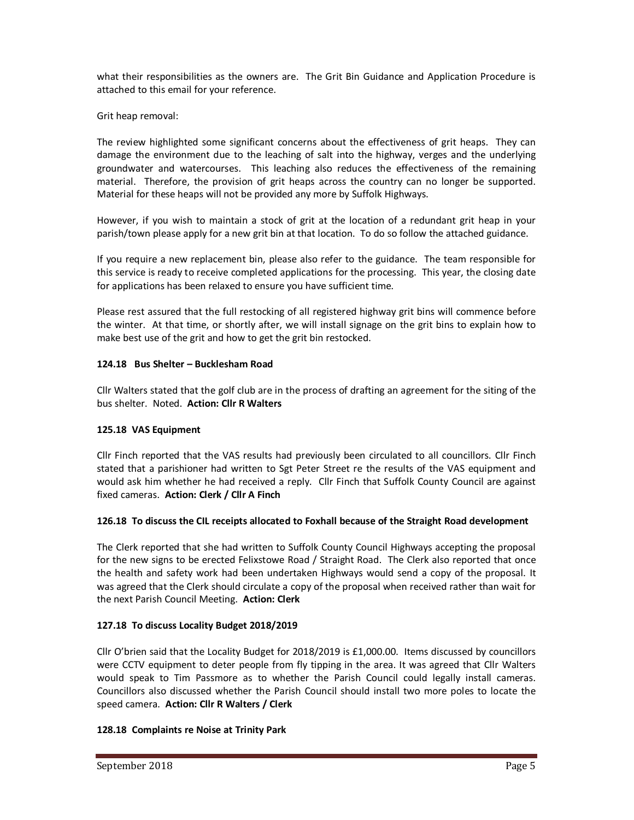what their responsibilities as the owners are. The Grit Bin Guidance and Application Procedure is attached to this email for your reference.

Grit heap removal:

The review highlighted some significant concerns about the effectiveness of grit heaps. They can damage the environment due to the leaching of salt into the highway, verges and the underlying groundwater and watercourses. This leaching also reduces the effectiveness of the remaining material. Therefore, the provision of grit heaps across the country can no longer be supported. Material for these heaps will not be provided any more by Suffolk Highways.

However, if you wish to maintain a stock of grit at the location of a redundant grit heap in your parish/town please apply for a new grit bin at that location. To do so follow the attached guidance.

If you require a new replacement bin, please also refer to the guidance. The team responsible for this service is ready to receive completed applications for the processing. This year, the closing date for applications has been relaxed to ensure you have sufficient time.

Please rest assured that the full restocking of all registered highway grit bins will commence before the winter. At that time, or shortly after, we will install signage on the grit bins to explain how to make best use of the grit and how to get the grit bin restocked.

# **124.18 Bus Shelter – Bucklesham Road**

Cllr Walters stated that the golf club are in the process of drafting an agreement for the siting of the bus shelter. Noted. **Action: Cllr R Walters** 

# **125.18 VAS Equipment**

Cllr Finch reported that the VAS results had previously been circulated to all councillors. Cllr Finch stated that a parishioner had written to Sgt Peter Street re the results of the VAS equipment and would ask him whether he had received a reply. Cllr Finch that Suffolk County Council are against fixed cameras. **Action: Clerk / Cllr A Finch** 

# **126.18 To discuss the CIL receipts allocated to Foxhall because of the Straight Road development**

The Clerk reported that she had written to Suffolk County Council Highways accepting the proposal for the new signs to be erected Felixstowe Road / Straight Road. The Clerk also reported that once the health and safety work had been undertaken Highways would send a copy of the proposal. It was agreed that the Clerk should circulate a copy of the proposal when received rather than wait for the next Parish Council Meeting. **Action: Clerk** 

# **127.18 To discuss Locality Budget 2018/2019**

Cllr O'brien said that the Locality Budget for 2018/2019 is £1,000.00. Items discussed by councillors were CCTV equipment to deter people from fly tipping in the area. It was agreed that Cllr Walters would speak to Tim Passmore as to whether the Parish Council could legally install cameras. Councillors also discussed whether the Parish Council should install two more poles to locate the speed camera. **Action: Cllr R Walters / Clerk** 

# **128.18 Complaints re Noise at Trinity Park**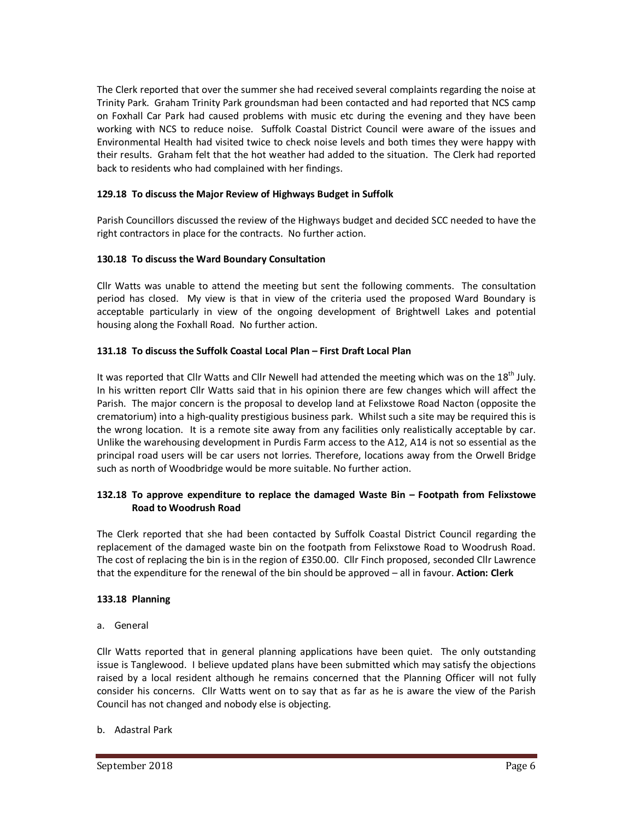The Clerk reported that over the summer she had received several complaints regarding the noise at Trinity Park. Graham Trinity Park groundsman had been contacted and had reported that NCS camp on Foxhall Car Park had caused problems with music etc during the evening and they have been working with NCS to reduce noise. Suffolk Coastal District Council were aware of the issues and Environmental Health had visited twice to check noise levels and both times they were happy with their results. Graham felt that the hot weather had added to the situation. The Clerk had reported back to residents who had complained with her findings.

# **129.18 To discuss the Major Review of Highways Budget in Suffolk**

Parish Councillors discussed the review of the Highways budget and decided SCC needed to have the right contractors in place for the contracts. No further action.

### **130.18 To discuss the Ward Boundary Consultation**

Cllr Watts was unable to attend the meeting but sent the following comments. The consultation period has closed. My view is that in view of the criteria used the proposed Ward Boundary is acceptable particularly in view of the ongoing development of Brightwell Lakes and potential housing along the Foxhall Road. No further action.

### **131.18 To discuss the Suffolk Coastal Local Plan – First Draft Local Plan**

It was reported that Cllr Watts and Cllr Newell had attended the meeting which was on the 18<sup>th</sup> July. In his written report Cllr Watts said that in his opinion there are few changes which will affect the Parish. The major concern is the proposal to develop land at Felixstowe Road Nacton (opposite the crematorium) into a high-quality prestigious business park. Whilst such a site may be required this is the wrong location. It is a remote site away from any facilities only realistically acceptable by car. Unlike the warehousing development in Purdis Farm access to the A12, A14 is not so essential as the principal road users will be car users not lorries. Therefore, locations away from the Orwell Bridge such as north of Woodbridge would be more suitable. No further action.

# **132.18 To approve expenditure to replace the damaged Waste Bin – Footpath from Felixstowe Road to Woodrush Road**

The Clerk reported that she had been contacted by Suffolk Coastal District Council regarding the replacement of the damaged waste bin on the footpath from Felixstowe Road to Woodrush Road. The cost of replacing the bin is in the region of £350.00. Cllr Finch proposed, seconded Cllr Lawrence that the expenditure for the renewal of the bin should be approved – all in favour. **Action: Clerk** 

### **133.18 Planning**

a. General

Cllr Watts reported that in general planning applications have been quiet. The only outstanding issue is Tanglewood. I believe updated plans have been submitted which may satisfy the objections raised by a local resident although he remains concerned that the Planning Officer will not fully consider his concerns. Cllr Watts went on to say that as far as he is aware the view of the Parish Council has not changed and nobody else is objecting.

### b. Adastral Park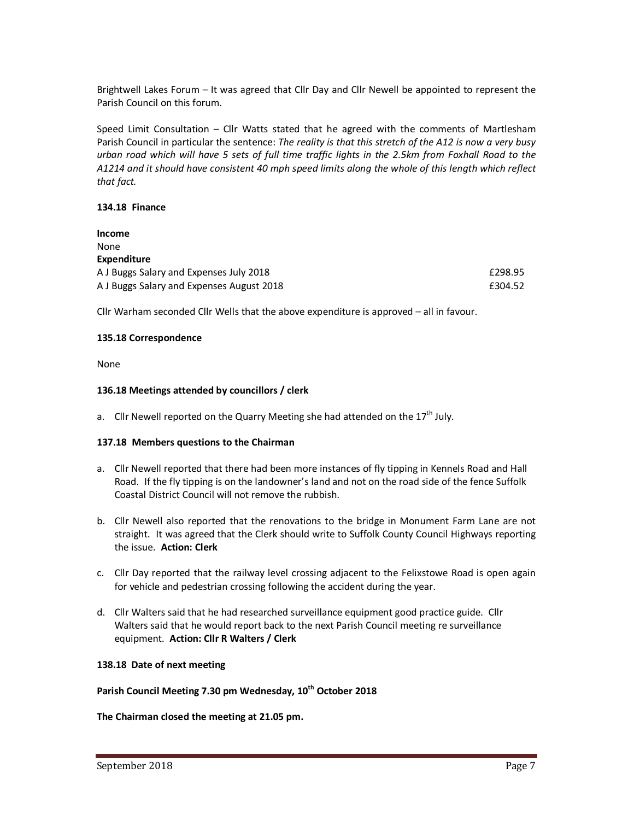Brightwell Lakes Forum – It was agreed that Cllr Day and Cllr Newell be appointed to represent the Parish Council on this forum.

Speed Limit Consultation – Cllr Watts stated that he agreed with the comments of Martlesham Parish Council in particular the sentence: *The reality is that this stretch of the A12 is now a very busy urban road which will have 5 sets of full time traffic lights in the 2.5km from Foxhall Road to the A1214 and it should have consistent 40 mph speed limits along the whole of this length which reflect that fact.*

### **134.18 Finance**

| Income                                    |         |
|-------------------------------------------|---------|
| None                                      |         |
| Expenditure                               |         |
| A J Buggs Salary and Expenses July 2018   | £298.95 |
| A J Buggs Salary and Expenses August 2018 | £304.52 |

Cllr Warham seconded Cllr Wells that the above expenditure is approved – all in favour.

### **135.18 Correspondence**

None

### **136.18 Meetings attended by councillors / clerk**

a. Cllr Newell reported on the Quarry Meeting she had attended on the  $17<sup>th</sup>$  July.

### **137.18 Members questions to the Chairman**

- a. Cllr Newell reported that there had been more instances of fly tipping in Kennels Road and Hall Road. If the fly tipping is on the landowner's land and not on the road side of the fence Suffolk Coastal District Council will not remove the rubbish.
- b. Cllr Newell also reported that the renovations to the bridge in Monument Farm Lane are not straight. It was agreed that the Clerk should write to Suffolk County Council Highways reporting the issue. **Action: Clerk**
- c. Cllr Day reported that the railway level crossing adjacent to the Felixstowe Road is open again for vehicle and pedestrian crossing following the accident during the year.
- d. Cllr Walters said that he had researched surveillance equipment good practice guide. Cllr Walters said that he would report back to the next Parish Council meeting re surveillance equipment. **Action: Cllr R Walters / Clerk**

### **138.18 Date of next meeting**

# **Parish Council Meeting 7.30 pm Wednesday, 10th October 2018**

**The Chairman closed the meeting at 21.05 pm.**